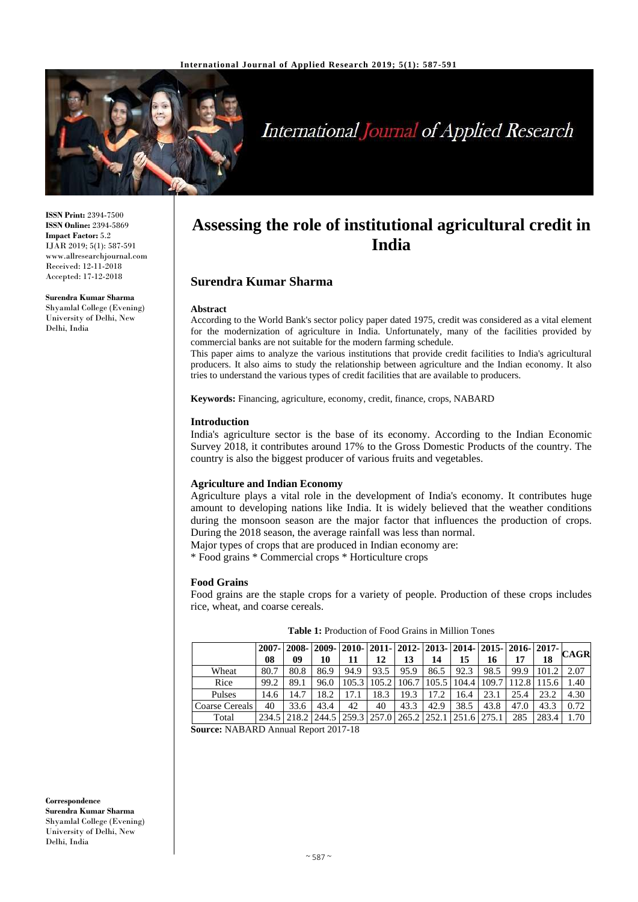

# International Journal of Applied Research

**ISSN Print:** 2394-7500 **ISSN Online:** 2394-5869 **Impact Factor:** 5.2 IJAR 2019; 5(1): 587-591 www.allresearchjournal.com Received: 12-11-2018 Accepted: 17-12-2018

**Surendra Kumar Sharma** Shyamlal College (Evening) University of Delhi, New Delhi, India

# **Assessing the role of institutional agricultural credit in India**

# **Surendra Kumar Sharma**

# **Abstract**

According to the World Bank's sector policy paper dated 1975, credit was considered as a vital element for the modernization of agriculture in India. Unfortunately, many of the facilities provided by commercial banks are not suitable for the modern farming schedule.

This paper aims to analyze the various institutions that provide credit facilities to India's agricultural producers. It also aims to study the relationship between agriculture and the Indian economy. It also tries to understand the various types of credit facilities that are available to producers.

**Keywords:** Financing, agriculture, economy, credit, finance, crops, NABARD

# **Introduction**

India's agriculture sector is the base of its economy. According to the Indian Economic Survey 2018, it contributes around 17% to the Gross Domestic Products of the country. The country is also the biggest producer of various fruits and vegetables.

# **Agriculture and Indian Economy**

Agriculture plays a vital role in the development of India's economy. It contributes huge amount to developing nations like India. It is widely believed that the weather conditions during the monsoon season are the major factor that influences the production of crops. During the 2018 season, the average rainfall was less than normal.

Major types of crops that are produced in Indian economy are:

\* Food grains \* Commercial crops \* Horticulture crops

# **Food Grains**

Food grains are the staple crops for a variety of people. Production of these crops includes rice, wheat, and coarse cereals.

|                |      |      |      |      |      |      |                                                                       |      |      |      |       | $\frac{1}{2007}$   2008   2009   2010   2011   2012   2013   2014   2015   2016   2017   CAGR |
|----------------|------|------|------|------|------|------|-----------------------------------------------------------------------|------|------|------|-------|-----------------------------------------------------------------------------------------------|
|                | 08   | 09   | 10   | 11   | 12   | 13   | 14                                                                    | 15   | 16   | 17   | 18    |                                                                                               |
| Wheat          | 80.7 | 80.8 | 86.9 | 94.9 | 93.5 | 95.9 | 86.5                                                                  | 92.3 | 98.5 | 99.9 | 101.2 | 2.07                                                                                          |
| Rice           | 99.2 | 89.1 | 96.0 |      |      |      | 105.3   105.2   106.7   105.5   104.4   109.7   112.8   115.6         |      |      |      |       | 1.40                                                                                          |
| Pulses         | 14.6 | 14.7 | 18.2 | 17.1 | 18.3 | 19.3 | 17.2                                                                  | 16.4 | 23.1 | 25.4 | 23.2  | 4.30                                                                                          |
| Coarse Cereals | 40   | 33.6 | 43.4 | 42   | 40   | 43.3 | 42.9                                                                  | 38.5 | 43.8 | 47.0 | 43.3  | 0.72                                                                                          |
| Total          |      |      |      |      |      |      | 234.5   218.2   244.5   259.3   257.0   265.2   252.1   251.6   275.1 |      |      | 285  | 283.4 | 1.70                                                                                          |

**Table 1:** Production of Food Grains in Million Tones

**Source:** NABARD Annual Report 2017-18

**Correspondence Surendra Kumar Sharma** Shyamlal College (Evening) University of Delhi, New Delhi, India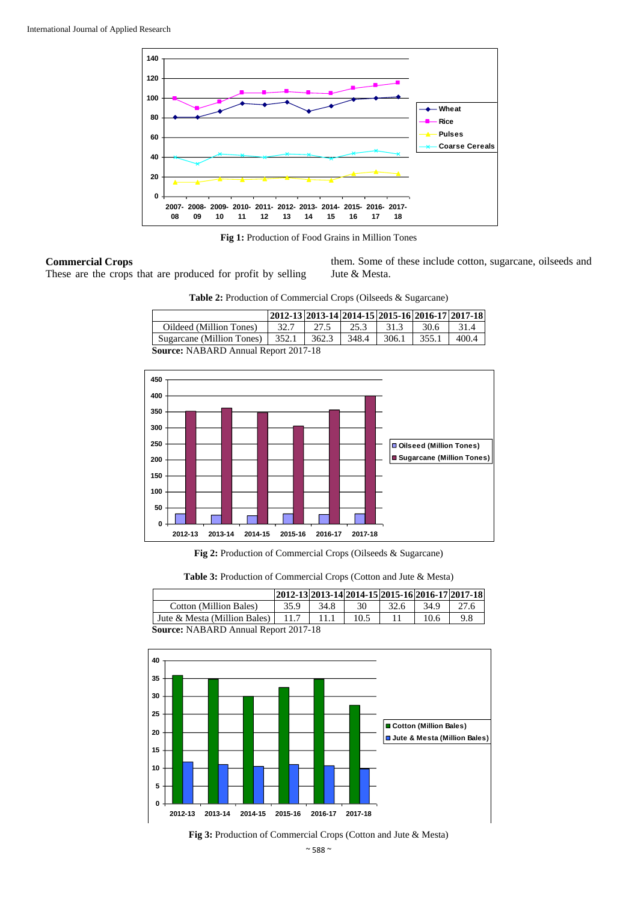

**Fig 1:** Production of Food Grains in Million Tones

#### **Commercial Crops**

These are the crops that are produced for profit by selling

them. Some of these include cotton, sugarcane, oilseeds and Jute & Mesta.

**Table 2:** Production of Commercial Crops (Oilseeds & Sugarcane)

|                                                 | 2012-13 2013-14 2014-15 2015-16 2016-17 2017-18 |       |       |       |       |       |
|-------------------------------------------------|-------------------------------------------------|-------|-------|-------|-------|-------|
| Oildeed (Million Tones)                         | 32.7                                            | 27.5  | 25.3  | 31.3  | 30.6  | 31.4  |
| Sugarcane (Million Tones) $\vert$ 352.1 $\vert$ |                                                 | 362.3 | 348.4 | 306.1 | 355.1 | 400.4 |
| <b>Source: NABARD Annual Report 2017-18</b>     |                                                 |       |       |       |       |       |



**Fig 2:** Production of Commercial Crops (Oilseeds & Sugarcane)

| Table 3: Production of Commercial Crops (Cotton and Jute & Mesta) |  |  |
|-------------------------------------------------------------------|--|--|
|-------------------------------------------------------------------|--|--|

|                                             |      |      |      |      |      | 2012-13 2013-14 2014-15 2015-16 2016-17 2017-18 |
|---------------------------------------------|------|------|------|------|------|-------------------------------------------------|
| Cotton (Million Bales)                      | 35.9 | 34.8 | 30   | 32.6 | 34.9 | 27.6                                            |
| Jute & Mesta (Million Bales) $\vert$        | 11.7 | 11.1 | 10.5 |      | 10.6 | 9.8                                             |
| <b>Source: NABARD Annual Report 2017-18</b> |      |      |      |      |      |                                                 |



**Fig 3:** Production of Commercial Crops (Cotton and Jute & Mesta)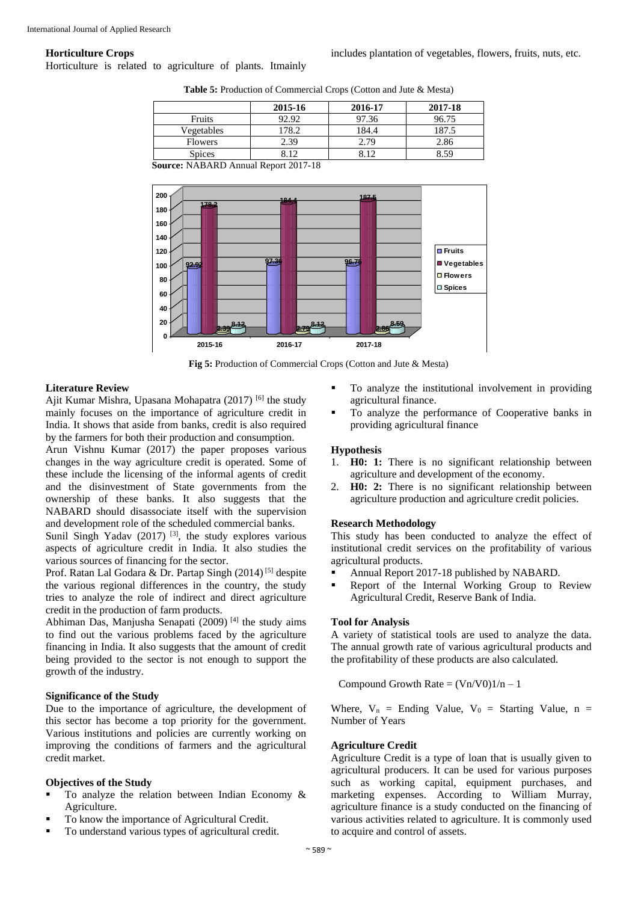#### **Horticulture Crops**

Horticulture is related to agriculture of plants. Itmainly

includes plantation of vegetables, flowers, fruits, nuts, etc.

|                | 2015-16 | 2016-17 | 2017-18 |
|----------------|---------|---------|---------|
| <b>Fruits</b>  | 92.92   | 97.36   | 96.75   |
| Vegetables     | 178.2   | 184.4   | 187.5   |
| <b>Flowers</b> | 2.39    | 2.79    | 2.86    |
| <b>Spices</b>  | 812     |         | 8.59    |

**Table 5:** Production of Commercial Crops (Cotton and Jute & Mesta)

**Source:** NABARD Annual Report 2017-18



**Fig 5:** Production of Commercial Crops (Cotton and Jute & Mesta)

#### **Literature Review**

Ajit Kumar Mishra, Upasana Mohapatra (2017)<sup>[6]</sup> the study mainly focuses on the importance of agriculture credit in India. It shows that aside from banks, credit is also required by the farmers for both their production and consumption.

Arun Vishnu Kumar (2017) the paper proposes various changes in the way agriculture credit is operated. Some of these include the licensing of the informal agents of credit and the disinvestment of State governments from the ownership of these banks. It also suggests that the NABARD should disassociate itself with the supervision and development role of the scheduled commercial banks.

Sunil Singh Yadav  $(2017)$ <sup>[3]</sup>, the study explores various aspects of agriculture credit in India. It also studies the various sources of financing for the sector.

Prof. Ratan Lal Godara & Dr. Partap Singh (2014) [5] despite the various regional differences in the country, the study tries to analyze the role of indirect and direct agriculture credit in the production of farm products.

Abhiman Das, Manjusha Senapati (2009)<sup>[4]</sup> the study aims to find out the various problems faced by the agriculture financing in India. It also suggests that the amount of credit being provided to the sector is not enough to support the growth of the industry.

#### **Significance of the Study**

Due to the importance of agriculture, the development of this sector has become a top priority for the government. Various institutions and policies are currently working on improving the conditions of farmers and the agricultural credit market.

# **Objectives of the Study**

- To analyze the relation between Indian Economy & Agriculture.
- To know the importance of Agricultural Credit.
- To understand various types of agricultural credit.
- To analyze the institutional involvement in providing agricultural finance.
- To analyze the performance of Cooperative banks in providing agricultural finance

#### **Hypothesis**

- 1. **H0: 1:** There is no significant relationship between agriculture and development of the economy.
- 2. **H0: 2:** There is no significant relationship between agriculture production and agriculture credit policies.

#### **Research Methodology**

This study has been conducted to analyze the effect of institutional credit services on the profitability of various agricultural products.

- Annual Report 2017-18 published by NABARD.
- Report of the Internal Working Group to Review Agricultural Credit, Reserve Bank of India.

#### **Tool for Analysis**

A variety of statistical tools are used to analyze the data. The annual growth rate of various agricultural products and the profitability of these products are also calculated.

Compound Growth Rate =  $(Vn/V0)1/n - 1$ 

Where,  $V_n$  = Ending Value,  $V_0$  = Starting Value, n = Number of Years

# **Agriculture Credit**

Agriculture Credit is a type of loan that is usually given to agricultural producers. It can be used for various purposes such as working capital, equipment purchases, and marketing expenses. According to William Murray, agriculture finance is a study conducted on the financing of various activities related to agriculture. It is commonly used to acquire and control of assets.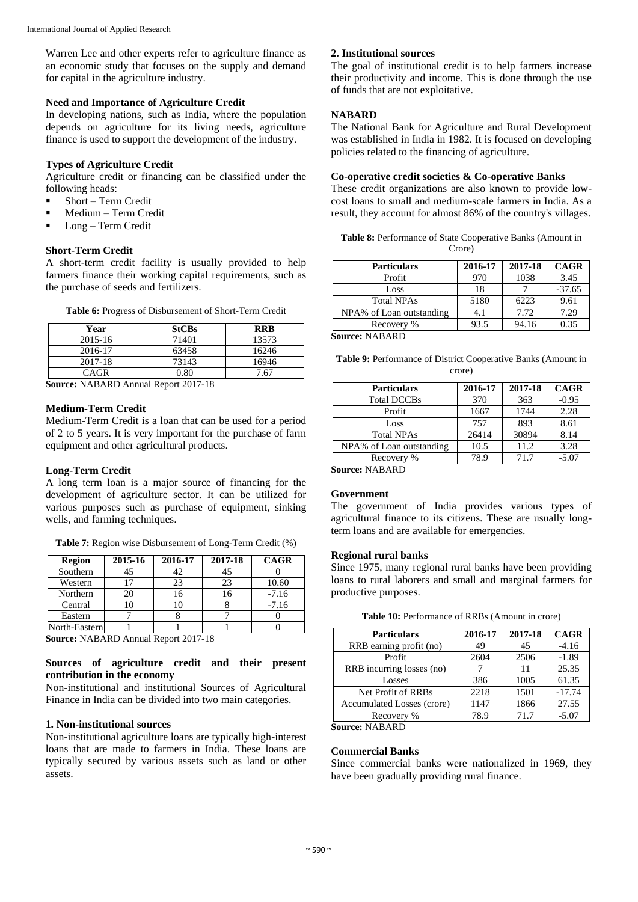Warren Lee and other experts refer to agriculture finance as an economic study that focuses on the supply and demand for capital in the agriculture industry.

# **Need and Importance of Agriculture Credit**

In developing nations, such as India, where the population depends on agriculture for its living needs, agriculture finance is used to support the development of the industry.

# **Types of Agriculture Credit**

Agriculture credit or financing can be classified under the following heads:

- **Short Term Credit**
- **Medium Term Credit**
- $\blacksquare$  Long Term Credit

# **Short-Term Credit**

A short-term credit facility is usually provided to help farmers finance their working capital requirements, such as the purchase of seeds and fertilizers.

| Year    | <b>StCBs</b> | RRR   |
|---------|--------------|-------|
| 2015-16 | 71401        | 13573 |
| 2016-17 | 63458        | 16246 |
| 2017-18 | 73143        | 16946 |
| CAGR    | በ Ջቦ         | 7 67  |

**Table 6:** Progress of Disbursement of Short-Term Credit

| Source: NABARD Annual Report 2017-18 |
|--------------------------------------|
|                                      |

# **Medium-Term Credit**

Medium-Term Credit is a loan that can be used for a period of 2 to 5 years. It is very important for the purchase of farm equipment and other agricultural products.

# **Long-Term Credit**

A long term loan is a major source of financing for the development of agriculture sector. It can be utilized for various purposes such as purchase of equipment, sinking wells, and farming techniques.

**Table 7:** Region wise Disbursement of Long-Term Credit (%)

| <b>Region</b> | 2015-16 | 2016-17 | 2017-18 | <b>CAGR</b> |
|---------------|---------|---------|---------|-------------|
| Southern      | 45      | 42      | 45      |             |
| Western       | 17      | 23      | 23      | 10.60       |
| Northern      | 20      | 6       |         | $-7.16$     |
| Central       |         | 10      |         | $-7.16$     |
| Eastern       |         |         |         |             |
| North-Eastern |         |         |         |             |

**Source:** NABARD Annual Report 2017-18

# **Sources of agriculture credit and their present contribution in the economy**

Non-institutional and institutional Sources of Agricultural Finance in India can be divided into two main categories.

# **1. Non-institutional sources**

Non-institutional agriculture loans are typically high-interest loans that are made to farmers in India. These loans are typically secured by various assets such as land or other assets.

# **2. Institutional sources**

The goal of institutional credit is to help farmers increase their productivity and income. This is done through the use of funds that are not exploitative.

# **NABARD**

The National Bank for Agriculture and Rural Development was established in India in 1982. It is focused on developing policies related to the financing of agriculture.

# **Co-operative credit societies & Co-operative Banks**

These credit organizations are also known to provide lowcost loans to small and medium-scale farmers in India. As a result, they account for almost 86% of the country's villages.

**Table 8:** Performance of State Cooperative Banks (Amount in Crore)

| <b>Particulars</b>       | 2016-17 | 2017-18 | <b>CAGR</b> |
|--------------------------|---------|---------|-------------|
| Profit                   | 970     | 1038    | 3.45        |
| Loss                     | 18      |         | $-37.65$    |
| <b>Total NPAs</b>        | 5180    | 6223    | 9.61        |
| NPA% of Loan outstanding | 4.1     | 7.72    | 7.29        |
| Recovery %               | 93.5    | 94.16   | 0.35        |
| <b>Source: NABARD</b>    |         |         |             |

**Table 9:** Performance of District Cooperative Banks (Amount in crore)

| <b>Particulars</b>       | 2016-17 | 2017-18 | <b>CAGR</b> |
|--------------------------|---------|---------|-------------|
| <b>Total DCCBs</b>       | 370     | 363     | $-0.95$     |
| Profit                   | 1667    | 1744    | 2.28        |
| Loss                     | 757     | 893     | 8.61        |
| <b>Total NPAs</b>        | 26414   | 30894   | 8.14        |
| NPA% of Loan outstanding | 10.5    | 11.2    | 3.28        |
| Recovery %               | 78.9    | 71.7    | $-5.07$     |
| ,,, <del>,</del> ,,,,    |         |         |             |

**Source:** NABARD

# **Government**

The government of India provides various types of agricultural finance to its citizens. These are usually longterm loans and are available for emergencies.

# **Regional rural banks**

Since 1975, many regional rural banks have been providing loans to rural laborers and small and marginal farmers for productive purposes.

**Table 10:** Performance of RRBs (Amount in crore)

| <b>Particulars</b>         | 2016-17 | 2017-18 | <b>CAGR</b> |
|----------------------------|---------|---------|-------------|
| RRB earning profit (no)    | 49      | 45      | $-4.16$     |
| Profit                     | 2604    | 2506    | $-1.89$     |
| RRB incurring losses (no)  |         | 11      | 25.35       |
| Losses                     | 386     | 1005    | 61.35       |
| Net Profit of RRBs         | 2218    | 1501    | $-17.74$    |
| Accumulated Losses (crore) | 1147    | 1866    | 27.55       |
| Recovery %                 | 78.9    | 71.7    | $-5.07$     |

**Source:** NABARD

# **Commercial Banks**

Since commercial banks were nationalized in 1969, they have been gradually providing rural finance.